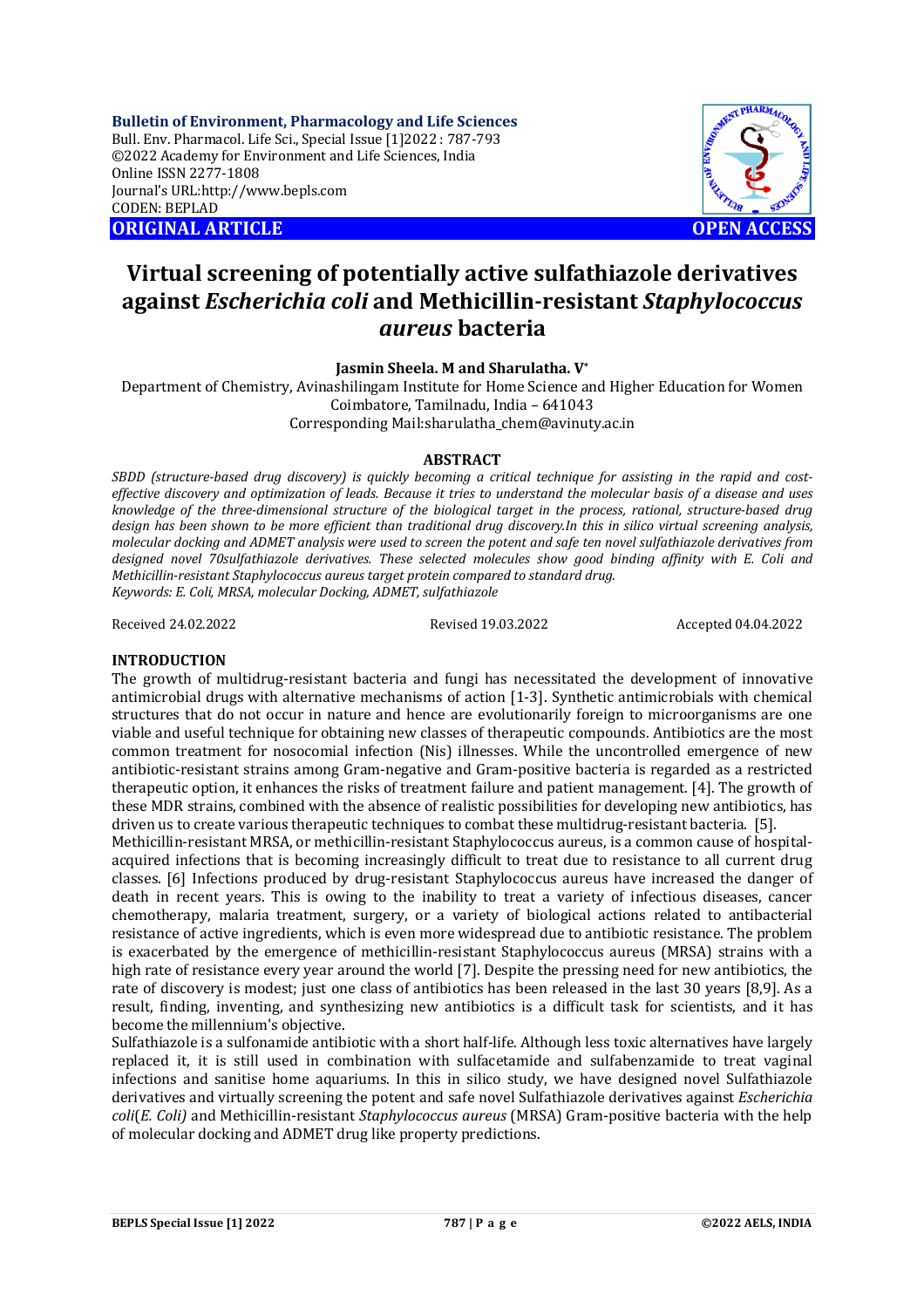**Bulletin of Environment, Pharmacology and Life Sciences** Bull. Env. Pharmacol. Life Sci., Special Issue [1]2022 : 787-793 ©2022 Academy for Environment and Life Sciences, India Online ISSN 2277-1808 Journal's URL:<http://www.bepls.com> CODEN: BEPLAD **ORIGINAL ARTICLE OPEN ACCESS** 



# **Virtual screening of potentially active sulfathiazole derivatives against** *Escherichia coli* **and Methicillin-resistant** *Staphylococcus aureus* **bacteria**

**Jasmin Sheela. M and Sharulatha. V\***

Department of Chemistry, Avinashilingam Institute for Home Science and Higher Education for Women Coimbatore, Tamilnadu, India – 641043 Corresponding [Mail:sharulatha\\_chem@avinuty.ac.in](mailto:Mail:sharulatha_chem@avinuty.ac.in)

# **ABSTRACT**

*SBDD (structure-based drug discovery) is quickly becoming a critical technique for assisting in the rapid and costeffective discovery and optimization of leads. Because it tries to understand the molecular basis of a disease and uses knowledge of the three-dimensional structure of the biological target in the process, rational, structure-based drug design has been shown to be more efficient than traditional drug discovery.In this in silico virtual screening analysis, molecular docking and ADMET analysis were used to screen the potent and safe ten novel sulfathiazole derivatives from designed novel 70sulfathiazole derivatives. These selected molecules show good binding affinity with E. Coli and Methicillin-resistant Staphylococcus aureus target protein compared to standard drug. Keywords: E. Coli, MRSA, molecular Docking, ADMET, sulfathiazole*

Received 24.02.2022 Revised 19.03.2022 Accepted 04.04.2022

# **INTRODUCTION**

The growth of multidrug-resistant bacteria and fungi has necessitated the development of innovative antimicrobial drugs with alternative mechanisms of action [1-3]. Synthetic antimicrobials with chemical structures that do not occur in nature and hence are evolutionarily foreign to microorganisms are one viable and useful technique for obtaining new classes of therapeutic compounds. Antibiotics are the most common treatment for nosocomial infection (Nis) illnesses. While the uncontrolled emergence of new antibiotic-resistant strains among Gram-negative and Gram-positive bacteria is regarded as a restricted therapeutic option, it enhances the risks of treatment failure and patient management. [4]. The growth of these MDR strains, combined with the absence of realistic possibilities for developing new antibiotics, has driven us to create various therapeutic techniques to combat these multidrug-resistant bacteria. [5].

Methicillin-resistant MRSA, or methicillin-resistant Staphylococcus aureus, is a common cause of hospitalacquired infections that is becoming increasingly difficult to treat due to resistance to all current drug classes. [6] Infections produced by drug-resistant Staphylococcus aureus have increased the danger of death in recent years. This is owing to the inability to treat a variety of infectious diseases, cancer chemotherapy, malaria treatment, surgery, or a variety of biological actions related to antibacterial resistance of active ingredients, which is even more widespread due to antibiotic resistance. The problem is exacerbated by the emergence of methicillin-resistant Staphylococcus aureus (MRSA) strains with a high rate of resistance every year around the world [7]. Despite the pressing need for new antibiotics, the rate of discovery is modest; just one class of antibiotics has been released in the last 30 years [8,9]. As a result, finding, inventing, and synthesizing new antibiotics is a difficult task for scientists, and it has become the millennium's objective.

Sulfathiazole is a sulfonamide antibiotic with a short half-life. Although less toxic alternatives have largely replaced it, it is still used in combination with sulfacetamide and sulfabenzamide to treat vaginal infections and sanitise home aquariums. In this in silico study, we have designed novel Sulfathiazole derivatives and virtually screening the potent and safe novel Sulfathiazole derivatives against *Escherichia coli*(*E. Coli)* and Methicillin-resistant *Staphylococcus aureus* (MRSA) Gram-positive bacteria with the help of molecular docking and ADMET drug like property predictions.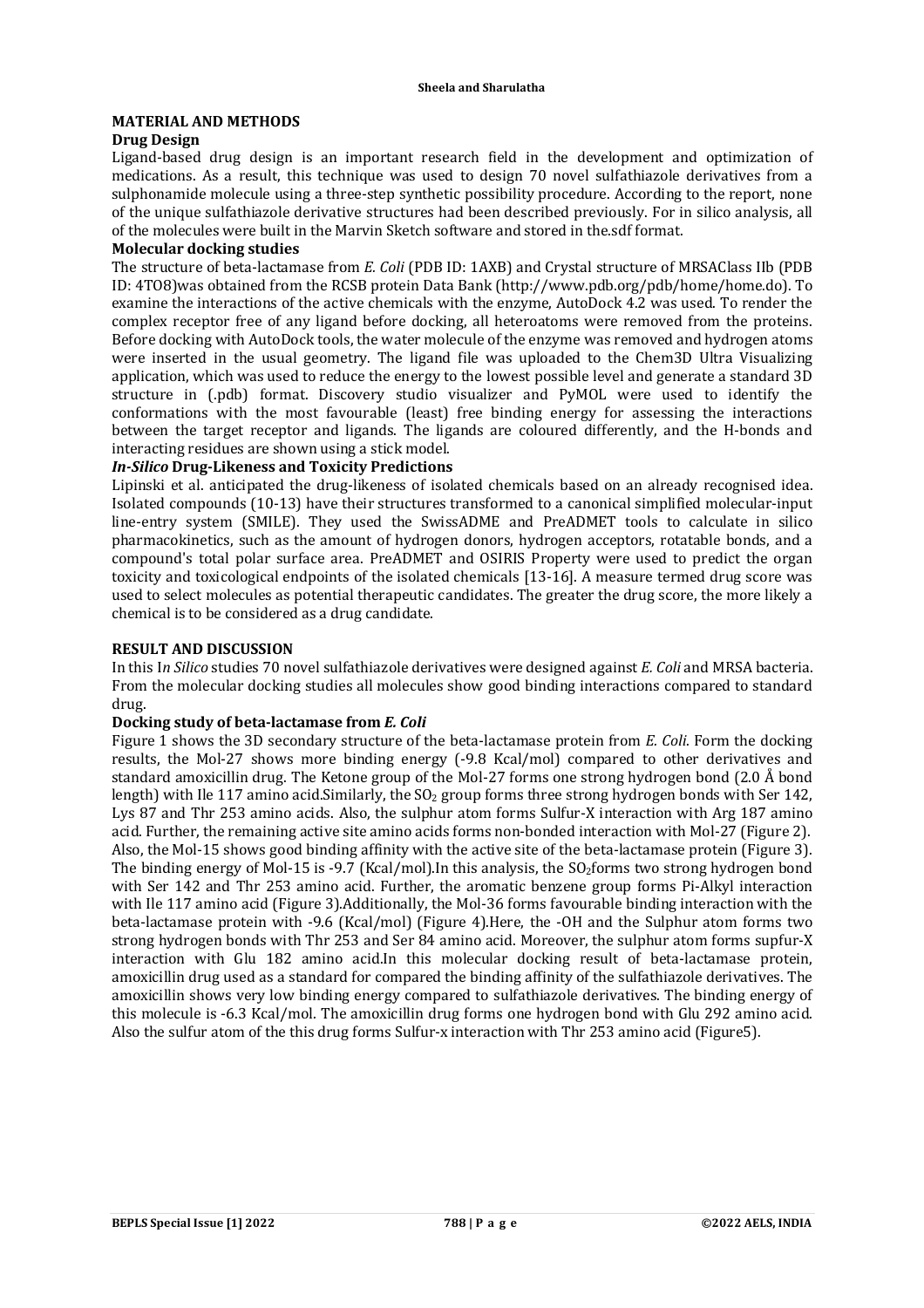# **MATERIAL AND METHODS**

# **Drug Design**

Ligand-based drug design is an important research field in the development and optimization of medications. As a result, this technique was used to design 70 novel sulfathiazole derivatives from a sulphonamide molecule using a three-step synthetic possibility procedure. According to the report, none of the unique sulfathiazole derivative structures had been described previously. For in silico analysis, all of the molecules were built in the Marvin Sketch software and stored in the.sdf format.

# **Molecular docking studies**

The structure of beta-lactamase from *E. Coli* (PDB ID: 1AXB) and Crystal structure of MRSAClass IIb (PDB ID: 4TO8)was obtained from the RCSB protein Data Bank [\(http://www.pdb.org/pdb/home/home.do\).](http://www.pdb.org/pdb/home/home.do).) To examine the interactions of the active chemicals with the enzyme, AutoDock 4.2 was used. To render the complex receptor free of any ligand before docking, all heteroatoms were removed from the proteins. Before docking with AutoDock tools, the water molecule of the enzyme was removed and hydrogen atoms were inserted in the usual geometry. The ligand file was uploaded to the Chem3D Ultra Visualizing application, which was used to reduce the energy to the lowest possible level and generate a standard 3D structure in (.pdb) format. Discovery studio visualizer and PyMOL were used to identify the conformations with the most favourable (least) free binding energy for assessing the interactions between the target receptor and ligands. The ligands are coloured differently, and the H-bonds and interacting residues are shown using a stick model.

# *In-Silico* **Drug-Likeness and Toxicity Predictions**

Lipinski et al. anticipated the drug-likeness of isolated chemicals based on an already recognised idea. Isolated compounds (10-13) have their structures transformed to a canonical simplified molecular-input line-entry system (SMILE). They used the SwissADME and PreADMET tools to calculate in silico pharmacokinetics, such as the amount of hydrogen donors, hydrogen acceptors, rotatable bonds, and a compound's total polar surface area. PreADMET and OSIRIS Property were used to predict the organ toxicity and toxicological endpoints of the isolated chemicals [13-16]. A measure termed drug score was used to select molecules as potential therapeutic candidates. The greater the drug score, the more likely a chemical is to be considered as a drug candidate.

# **RESULT AND DISCUSSION**

In this I*n Silico* studies 70 novel sulfathiazole derivatives were designed against *E. Coli* and MRSA bacteria. From the molecular docking studies all molecules show good binding interactions compared to standard drug.

# **Docking study of beta-lactamase from** *E. Coli*

Figure 1 shows the 3D secondary structure of the beta-lactamase protein from *E. Coli*. Form the docking results, the Mol-27 shows more binding energy (-9.8 Kcal/mol) compared to other derivatives and standard amoxicillin drug. The Ketone group of the Mol-27 forms one strong hydrogen bond (2.0 Å bond length) with Ile 117 amino acid.Similarly, the SO<sub>2</sub> group forms three strong hydrogen bonds with Ser 142, Lys 87 and Thr 253 amino acids. Also, the sulphur atom forms Sulfur-X interaction with Arg 187 amino acid. Further, the remaining active site amino acids forms non-bonded interaction with Mol-27 (Figure 2). Also, the Mol-15 shows good binding affinity with the active site of the beta-lactamase protein (Figure 3). The binding energy of Mol-15 is -9.7 (Kcal/mol).In this analysis, the  $SO<sub>2</sub>$ forms two strong hydrogen bond with Ser 142 and Thr 253 amino acid. Further, the aromatic benzene group forms Pi-Alkyl interaction with Ile 117 amino acid (Figure 3).Additionally, the Mol-36 forms favourable binding interaction with the beta-lactamase protein with -9.6 (Kcal/mol) (Figure 4).Here, the -OH and the Sulphur atom forms two strong hydrogen bonds with Thr 253 and Ser 84 amino acid. Moreover, the sulphur atom forms supfur-X interaction with Glu 182 amino acid.In this molecular docking result of beta-lactamase protein, amoxicillin drug used as a standard for compared the binding affinity of the sulfathiazole derivatives. The amoxicillin shows very low binding energy compared to sulfathiazole derivatives. The binding energy of this molecule is -6.3 Kcal/mol. The amoxicillin drug forms one hydrogen bond with Glu 292 amino acid. Also the sulfur atom of the this drug forms Sulfur-x interaction with Thr 253 amino acid (Figure5).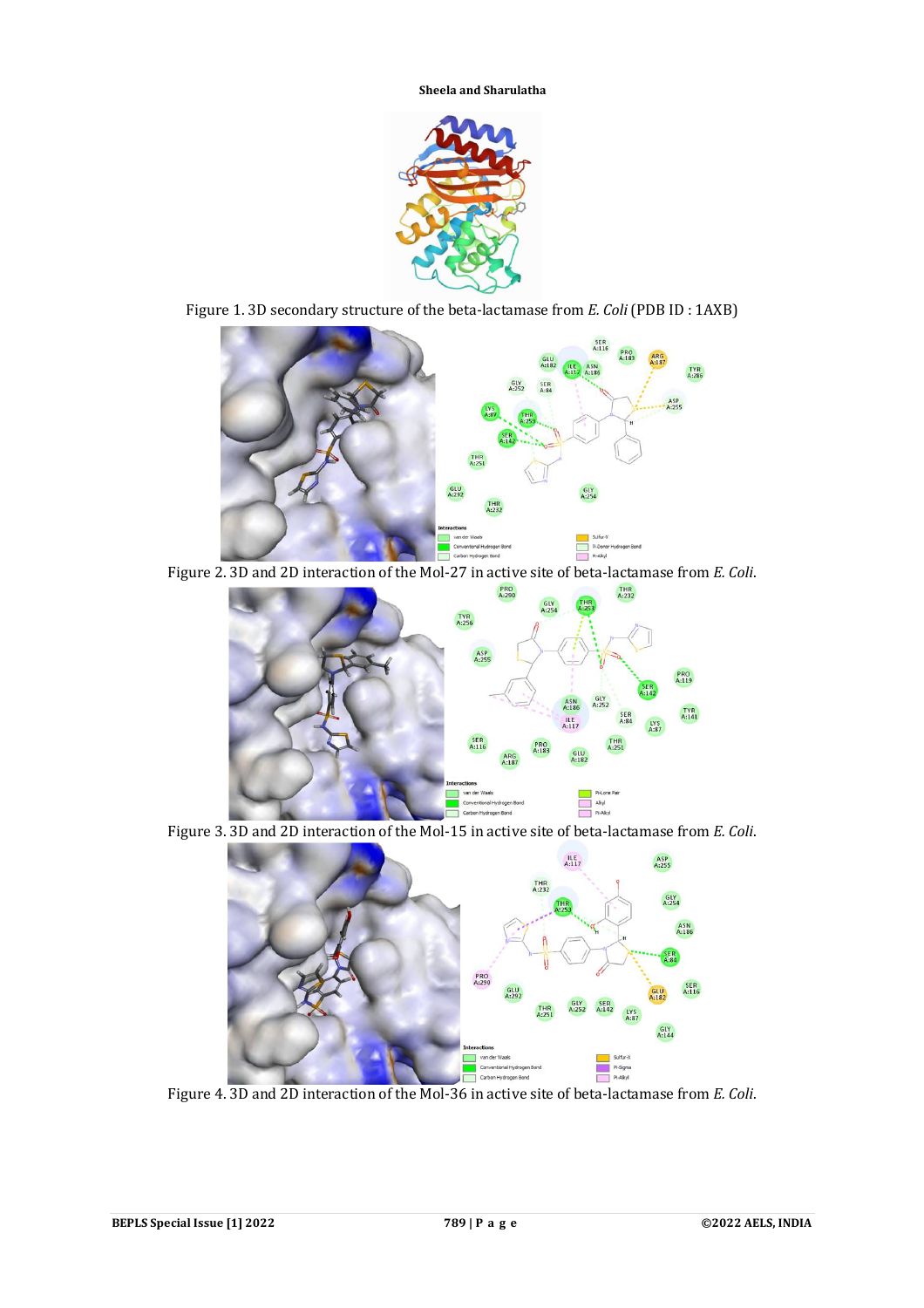

Figure 1. 3D secondary structure of the beta-lactamase from *E. Coli* (PDB ID : 1AXB)



Figure 2. 3D and 2D interaction of the Mol-27 in active site of beta-lactamase from *E. Coli*.



Figure 3. 3D and 2D interaction of the Mol-15 in active site of beta-lactamase from *E. Coli*.



Figure 4. 3D and 2D interaction of the Mol-36 in active site of beta-lactamase from *E. Coli*.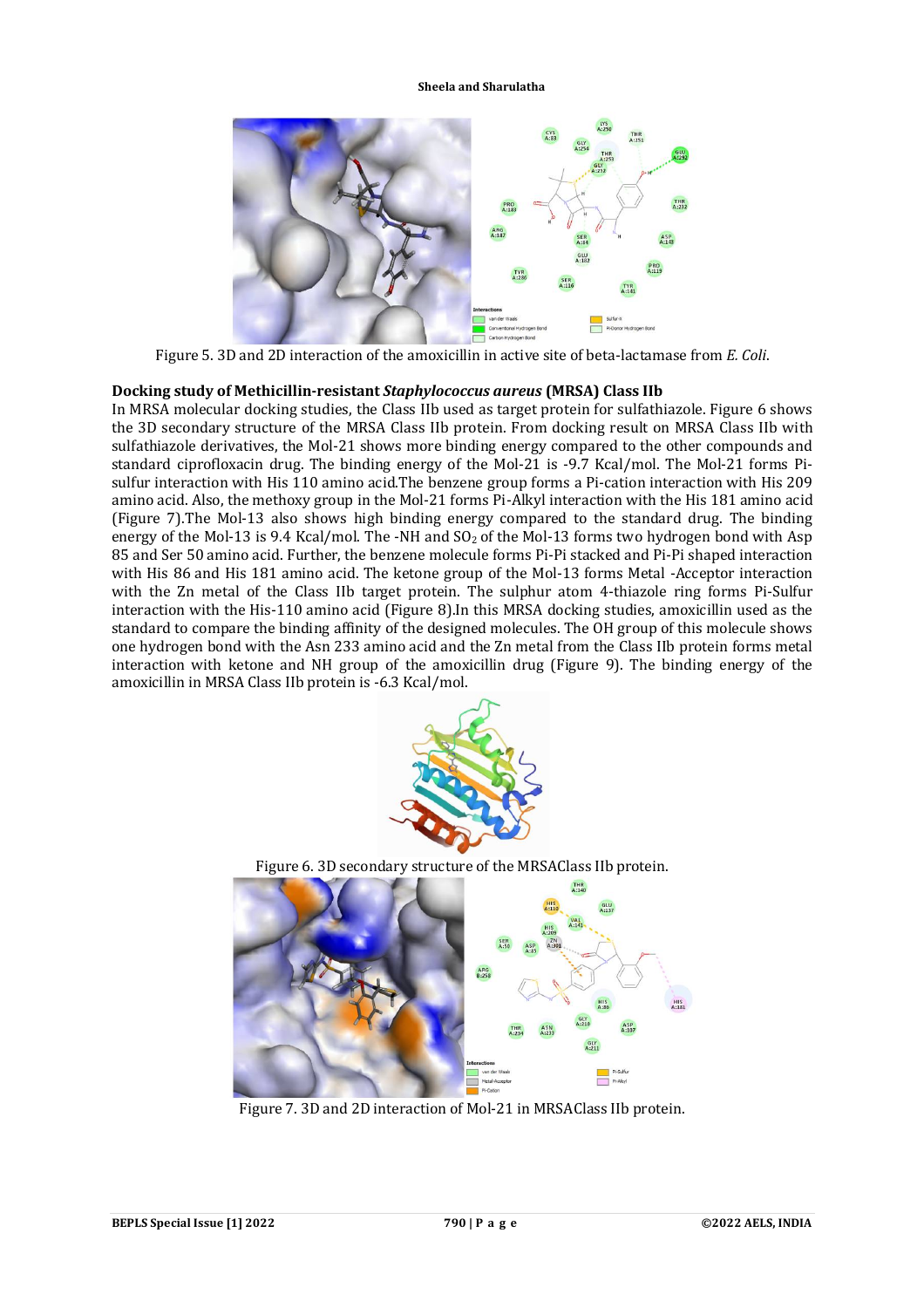

Figure 5. 3D and 2D interaction of the amoxicillin in active site of beta-lactamase from *E. Coli*.

# **Docking study of Methicillin-resistant** *Staphylococcus aureus* **(MRSA) Class IIb**

In MRSA molecular docking studies, the Class IIb used as target protein for sulfathiazole. Figure 6 shows the 3D secondary structure of the MRSA Class IIb protein. From docking result on MRSA Class IIb with sulfathiazole derivatives, the Mol-21 shows more binding energy compared to the other compounds and standard ciprofloxacin drug. The binding energy of the Mol-21 is -9.7 Kcal/mol. The Mol-21 forms Pisulfur interaction with His 110 amino acid.The benzene group forms a Pi-cation interaction with His 209 amino acid. Also, the methoxy group in the Mol-21 forms Pi-Alkyl interaction with the His 181 amino acid (Figure 7).The Mol-13 also shows high binding energy compared to the standard drug. The binding energy of the Mol-13 is 9.4 Kcal/mol. The -NH and  $SO<sub>2</sub>$  of the Mol-13 forms two hydrogen bond with Asp 85 and Ser 50 amino acid. Further, the benzene molecule forms Pi-Pi stacked and Pi-Pi shaped interaction with His 86 and His 181 amino acid. The ketone group of the Mol-13 forms Metal -Acceptor interaction with the Zn metal of the Class IIb target protein. The sulphur atom 4-thiazole ring forms Pi-Sulfur interaction with the His-110 amino acid (Figure 8).In this MRSA docking studies, amoxicillin used as the standard to compare the binding affinity of the designed molecules. The OH group of this molecule shows one hydrogen bond with the Asn 233 amino acid and the Zn metal from the Class IIb protein forms metal interaction with ketone and NH group of the amoxicillin drug (Figure 9). The binding energy of the amoxicillin in MRSA Class IIb protein is -6.3 Kcal/mol.



Figure 6. 3D secondary structure of the MRSAClass IIb protein.



Figure 7. 3D and 2D interaction of Mol-21 in MRSAClass IIb protein.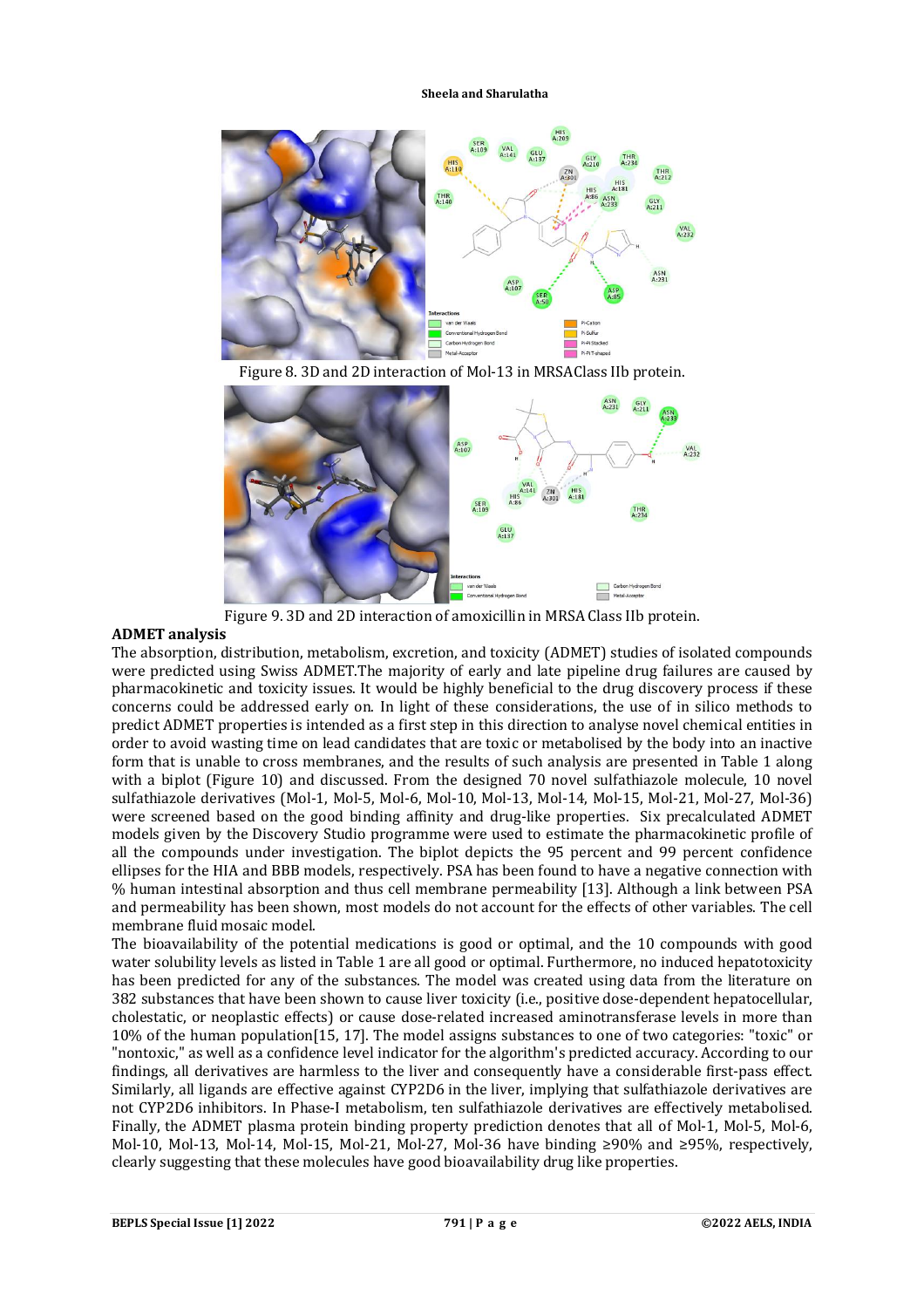

Figure 8. 3D and 2D interaction of Mol-13 in MRSAClass IIb protein.



Figure 9. 3D and 2D interaction of amoxicillin in MRSA Class IIb protein.

# **ADMET analysis**

The absorption, distribution, metabolism, excretion, and toxicity (ADMET) studies of isolated compounds were predicted using Swiss ADMET.The majority of early and late pipeline drug failures are caused by pharmacokinetic and toxicity issues. It would be highly beneficial to the drug discovery process if these concerns could be addressed early on. In light of these considerations, the use of in silico methods to predict ADMET properties is intended as a first step in this direction to analyse novel chemical entities in order to avoid wasting time on lead candidates that are toxic or metabolised by the body into an inactive form that is unable to cross membranes, and the results of such analysis are presented in Table 1 along with a biplot (Figure 10) and discussed. From the designed 70 novel sulfathiazole molecule, 10 novel sulfathiazole derivatives (Mol-1, Mol-5, Mol-6, Mol-10, Mol-13, Mol-14, Mol-15, Mol-21, Mol-27, Mol-36) were screened based on the good binding affinity and drug-like properties. Six precalculated ADMET models given by the Discovery Studio programme were used to estimate the pharmacokinetic profile of all the compounds under investigation. The biplot depicts the 95 percent and 99 percent confidence ellipses for the HIA and BBB models, respectively. PSA has been found to have a negative connection with % human intestinal absorption and thus cell membrane permeability [13]. Although a link between PSA and permeability has been shown, most models do not account for the effects of other variables. The cell membrane fluid mosaic model.

The bioavailability of the potential medications is good or optimal, and the 10 compounds with good water solubility levels as listed in Table 1 are all good or optimal. Furthermore, no induced hepatotoxicity has been predicted for any of the substances. The model was created using data from the literature on 382 substances that have been shown to cause liver toxicity (i.e., positive dose-dependent hepatocellular, cholestatic, or neoplastic effects) or cause dose-related increased aminotransferase levels in more than 10% of the human population[15, 17]. The model assigns substances to one of two categories: "toxic" or "nontoxic," as well as a confidence level indicator for the algorithm's predicted accuracy. According to our findings, all derivatives are harmless to the liver and consequently have a considerable first-pass effect. Similarly, all ligands are effective against CYP2D6 in the liver, implying that sulfathiazole derivatives are not CYP2D6 inhibitors. In Phase-I metabolism, ten sulfathiazole derivatives are effectively metabolised. Finally, the ADMET plasma protein binding property prediction denotes that all of Mol-1, Mol-5, Mol-6, Mol-10, Mol-13, Mol-14, Mol-15, Mol-21, Mol-27, Mol-36 have binding ≥90% and ≥95%, respectively, clearly suggesting that these molecules have good bioavailability drug like properties.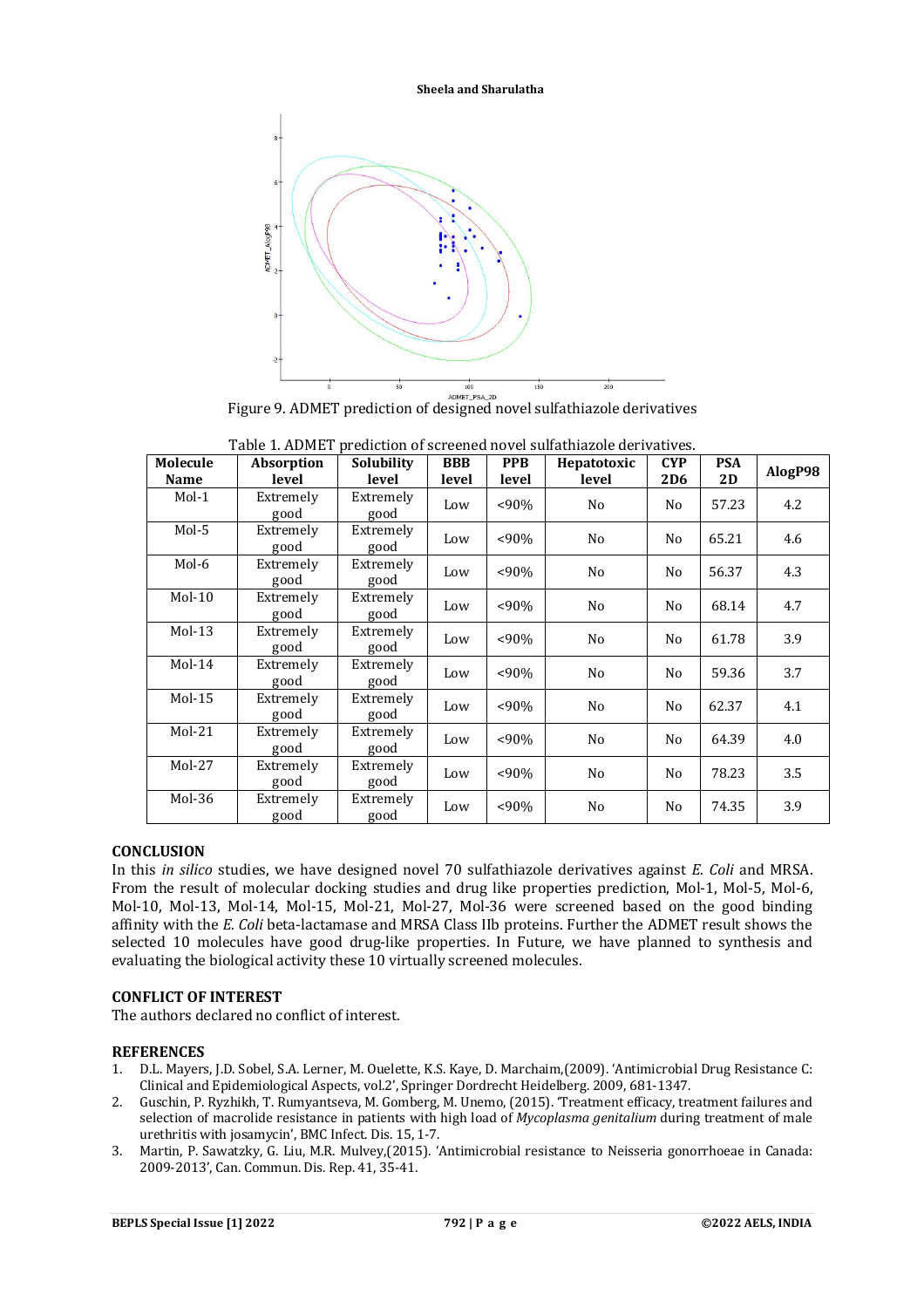

Figure 9. ADMET prediction of designed novel sulfathiazole derivatives

| Molecule<br>Name | <b>Absorption</b><br>level | Solubility<br>level | <b>BBB</b><br>level | <b>PPB</b><br>level | Hepatotoxic<br>level | <b>CYP</b><br>2D <sub>6</sub> | <b>PSA</b><br>2D | AlogP98 |
|------------------|----------------------------|---------------------|---------------------|---------------------|----------------------|-------------------------------|------------------|---------|
| $Mol-1$          | Extremely<br>good          | Extremely<br>good   | Low                 | $<90\%$             | No                   | No                            | 57.23            | 4.2     |
| $Mol-5$          | Extremely<br>good          | Extremely<br>good   | Low                 | $< 90\%$            | No                   | N <sub>0</sub>                | 65.21            | 4.6     |
| Mol-6            | Extremely<br>good          | Extremely<br>good   | Low                 | $<90\%$             | No                   | N <sub>0</sub>                | 56.37            | 4.3     |
| $Mol-10$         | Extremely<br>good          | Extremely<br>good   | Low                 | $<90\%$             | No                   | No                            | 68.14            | 4.7     |
| $Mol-13$         | Extremely<br>good          | Extremely<br>good   | Low                 | $< 90\%$            | No                   | N <sub>0</sub>                | 61.78            | 3.9     |
| $Mol-14$         | Extremely<br>good          | Extremely<br>good   | Low                 | $<90\%$             | No                   | N <sub>0</sub>                | 59.36            | 3.7     |
| $Mol-15$         | Extremely<br>good          | Extremely<br>good   | Low                 | $<90\%$             | No                   | N <sub>0</sub>                | 62.37            | 4.1     |
| $Mol-21$         | Extremely<br>good          | Extremely<br>good   | Low                 | $< 90\%$            | No                   | N <sub>0</sub>                | 64.39            | 4.0     |
| $Mol-27$         | Extremely<br>good          | Extremely<br>good   | Low                 | $<90\%$             | No                   | N <sub>o</sub>                | 78.23            | 3.5     |
| $Mol-36$         | Extremely<br>good          | Extremely<br>good   | Low                 | $< 90\%$            | No                   | N <sub>0</sub>                | 74.35            | 3.9     |

| Table 1. ADMET prediction of screened novel sulfathiazole derivatives. |  |  |  |
|------------------------------------------------------------------------|--|--|--|
|------------------------------------------------------------------------|--|--|--|

# **CONCLUSION**

In this *in silico* studies, we have designed novel 70 sulfathiazole derivatives against *E. Coli* and MRSA. From the result of molecular docking studies and drug like properties prediction, Mol-1, Mol-5, Mol-6, Mol-10, Mol-13, Mol-14, Mol-15, Mol-21, Mol-27, Mol-36 were screened based on the good binding affinity with the *E. Coli* beta-lactamase and MRSA Class IIb proteins. Further the ADMET result shows the selected 10 molecules have good drug-like properties. In Future, we have planned to synthesis and evaluating the biological activity these 10 virtually screened molecules.

# **CONFLICT OF INTEREST**

The authors declared no conflict of interest.

# **REFERENCES**

- 1. D.L. Mayers, J.D. Sobel, S.A. Lerner, M. Ouelette, K.S. Kaye, D. Marchaim,(2009). 'Antimicrobial Drug Resistance C: Clinical and Epidemiological Aspects, vol.2', Springer Dordrecht Heidelberg. 2009, 681-1347.
- 2. Guschin, P. Ryzhikh, T. Rumyantseva, M. Gomberg, M. Unemo, (2015). 'Treatment efficacy, treatment failures and selection of macrolide resistance in patients with high load of *Mycoplasma genitalium* during treatment of male urethritis with josamycin', BMC Infect. Dis. 15, 1-7.
- 3. Martin, P. Sawatzky, G. Liu, M.R. Mulvey,(2015). 'Antimicrobial resistance to Neisseria gonorrhoeae in Canada: 2009-2013', Can. Commun. Dis. Rep. 41, 35-41.